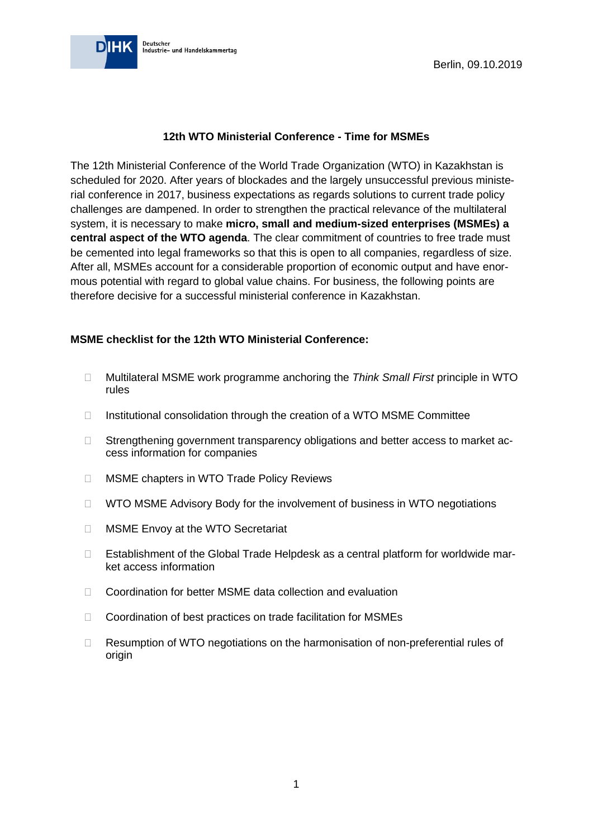

## **12th WTO Ministerial Conference - Time for MSMEs**

The 12th Ministerial Conference of the World Trade Organization (WTO) in Kazakhstan is scheduled for 2020. After years of blockades and the largely unsuccessful previous ministerial conference in 2017, business expectations as regards solutions to current trade policy challenges are dampened. In order to strengthen the practical relevance of the multilateral system, it is necessary to make **micro, small and medium-sized enterprises (MSMEs) a central aspect of the WTO agenda**. The clear commitment of countries to free trade must be cemented into legal frameworks so that this is open to all companies, regardless of size. After all, MSMEs account for a considerable proportion of economic output and have enormous potential with regard to global value chains. For business, the following points are therefore decisive for a successful ministerial conference in Kazakhstan.

### **MSME checklist for the 12th WTO Ministerial Conference:**

- Multilateral MSME work programme anchoring the *Think Small First* principle in WTO rules
- $\Box$  Institutional consolidation through the creation of a WTO MSME Committee
- □ Strengthening government transparency obligations and better access to market access information for companies
- □ MSME chapters in WTO Trade Policy Reviews
- $\Box$  WTO MSME Advisory Body for the involvement of business in WTO negotiations
- **INSME Envoy at the WTO Secretariat**
- □ Establishment of the Global Trade Helpdesk as a central platform for worldwide market access information
- □ Coordination for better MSME data collection and evaluation
- □ Coordination of best practices on trade facilitation for MSMEs
- $\Box$  Resumption of WTO negotiations on the harmonisation of non-preferential rules of origin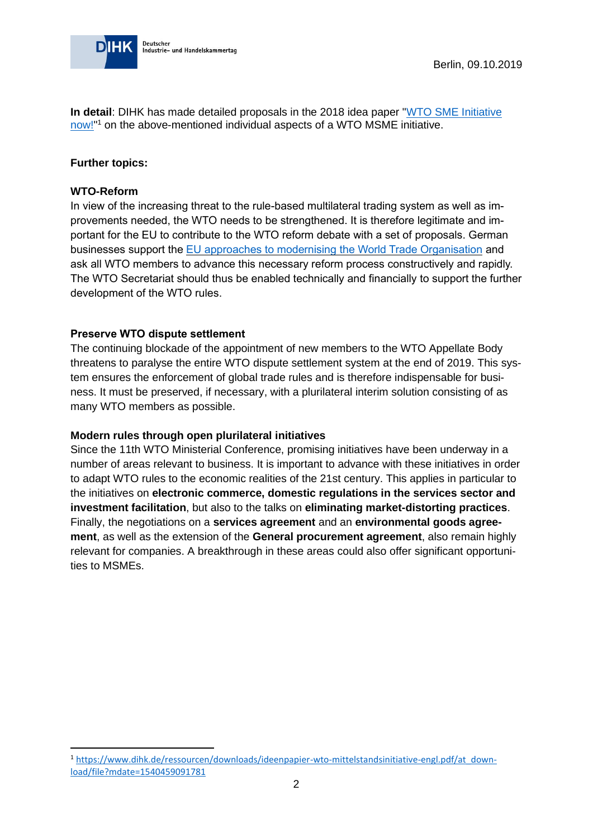

**In detail**: DIHK has made detailed proposals in the 2018 idea paper ["WTO SME Initiative](https://www.dihk.de/ressourcen/downloads/ideenpapier-wto-mittelstandsinitiative-engl.pdf/at_download/file?mdate=1540459091781)  [now!"](https://www.dihk.de/ressourcen/downloads/ideenpapier-wto-mittelstandsinitiative-engl.pdf/at_download/file?mdate=1540459091781)<sup>1</sup> on the above-mentioned individual aspects of a WTO MSME initiative.

#### **Further topics:**

#### **WTO-Reform**

In view of the increasing threat to the rule-based multilateral trading system as well as improvements needed, the WTO needs to be strengthened. It is therefore legitimate and important for the EU to contribute to the WTO reform debate with a set of proposals. German businesses support the [EU approaches to modernising the World Trade Organisation](http://europa.eu/rapid/press-release_IP-18-5786_de.htm) and ask all WTO members to advance this necessary reform process constructively and rapidly. The WTO Secretariat should thus be enabled technically and financially to support the further development of the WTO rules.

## **Preserve WTO dispute settlement**

The continuing blockade of the appointment of new members to the WTO Appellate Body threatens to paralyse the entire WTO dispute settlement system at the end of 2019. This system ensures the enforcement of global trade rules and is therefore indispensable for business. It must be preserved, if necessary, with a plurilateral interim solution consisting of as many WTO members as possible.

#### **Modern rules through open plurilateral initiatives**

Since the 11th WTO Ministerial Conference, promising initiatives have been underway in a number of areas relevant to business. It is important to advance with these initiatives in order to adapt WTO rules to the economic realities of the 21st century. This applies in particular to the initiatives on **electronic commerce, domestic regulations in the services sector and investment facilitation**, but also to the talks on **eliminating market-distorting practices**. Finally, the negotiations on a **services agreement** and an **environmental goods agreement**, as well as the extension of the **General procurement agreement**, also remain highly relevant for companies. A breakthrough in these areas could also offer significant opportunities to MSMEs.

<sup>1</sup> [https://www.dihk.de/ressourcen/downloads/ideenpapier-wto-mittelstandsinitiative-engl.pdf/at\\_down](https://www.dihk.de/ressourcen/downloads/ideenpapier-wto-mittelstandsinitiative-engl.pdf/at_download/file?mdate=1540459091781)[load/file?mdate=1540459091781](https://www.dihk.de/ressourcen/downloads/ideenpapier-wto-mittelstandsinitiative-engl.pdf/at_download/file?mdate=1540459091781)